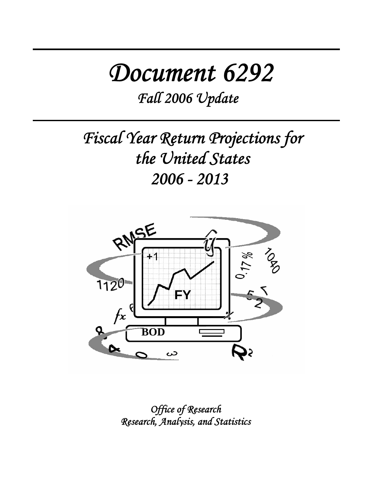# *Document 6292*

*Fall 2006 Update* 

*Fiscal Year Return Projections for the United States 2006 - 2013* 



*Office of Research Research, Analysis, and Statistics*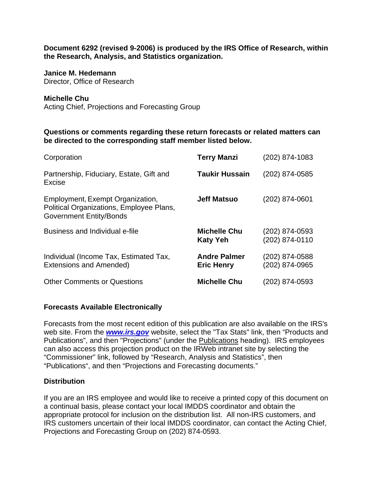**Document 6292 (revised 9-2006) is produced by the IRS Office of Research, within the Research, Analysis, and Statistics organization.** 

#### **Janice M. Hedemann**

Director, Office of Research

#### **Michelle Chu**

Acting Chief, Projections and Forecasting Group

#### **Questions or comments regarding these return forecasts or related matters can be directed to the corresponding staff member listed below.**

| Corporation                                                                                                    | <b>Terry Manzi</b>                       | (202) 874-1083                   |
|----------------------------------------------------------------------------------------------------------------|------------------------------------------|----------------------------------|
| Partnership, Fiduciary, Estate, Gift and<br>Excise                                                             | <b>Taukir Hussain</b>                    | (202) 874-0585                   |
| Employment, Exempt Organization,<br>Political Organizations, Employee Plans,<br><b>Government Entity/Bonds</b> | <b>Jeff Matsuo</b>                       | (202) 874-0601                   |
| Business and Individual e-file                                                                                 | <b>Michelle Chu</b><br><b>Katy Yeh</b>   | (202) 874-0593<br>(202) 874-0110 |
| Individual (Income Tax, Estimated Tax,<br><b>Extensions and Amended)</b>                                       | <b>Andre Palmer</b><br><b>Eric Henry</b> | (202) 874-0588<br>(202) 874-0965 |
| <b>Other Comments or Questions</b>                                                                             | <b>Michelle Chu</b>                      | (202) 874-0593                   |

#### **Forecasts Available Electronically**

Forecasts from the most recent edition of this publication are also available on the IRS's web site. From the *www.irs.gov* website, select the "Tax Stats" link, then "Products and Publications", and then "Projections" (under the Publications heading). IRS employees can also access this projection product on the IRWeb intranet site by selecting the "Commissioner" link, followed by "Research, Analysis and Statistics", then "Publications", and then "Projections and Forecasting documents."

#### **Distribution**

If you are an IRS employee and would like to receive a printed copy of this document on a continual basis, please contact your local IMDDS coordinator and obtain the appropriate protocol for inclusion on the distribution list. All non-IRS customers, and IRS customers uncertain of their local IMDDS coordinator, can contact the Acting Chief, Projections and Forecasting Group on (202) 874-0593.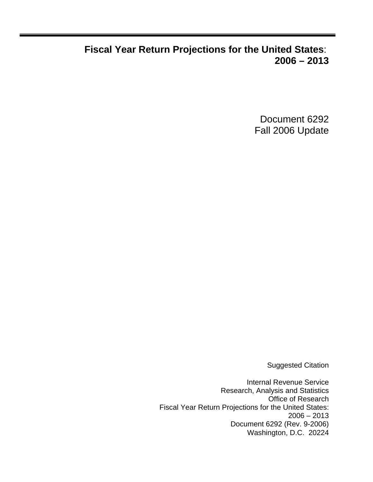## **Fiscal Year Return Projections for the United States**: **2006 – 2013**

Document 6292 Fall 2006 Update

Suggested Citation

Internal Revenue Service Research, Analysis and Statistics Office of Research Fiscal Year Return Projections for the United States:  $2006 - 2013$ Document 6292 (Rev. 9-2006) Washington, D.C. 20224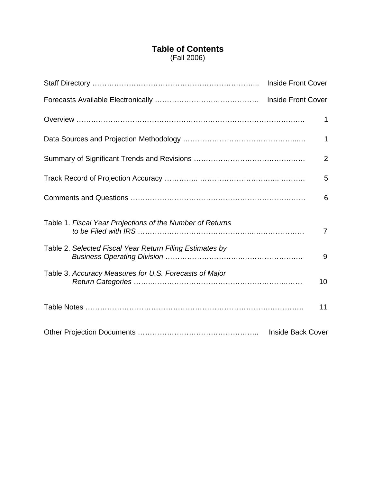### **Table of Contents** (Fall 2006)

|                                                           | <b>Inside Front Cover</b> |
|-----------------------------------------------------------|---------------------------|
|                                                           |                           |
|                                                           | 1                         |
|                                                           | $\mathbf 1$               |
|                                                           | $\overline{2}$            |
|                                                           | 5                         |
|                                                           | 6                         |
| Table 1. Fiscal Year Projections of the Number of Returns | $\overline{7}$            |
| Table 2. Selected Fiscal Year Return Filing Estimates by  | 9                         |
| Table 3. Accuracy Measures for U.S. Forecasts of Major    | 10                        |
|                                                           | 11                        |
|                                                           | <b>Inside Back Cover</b>  |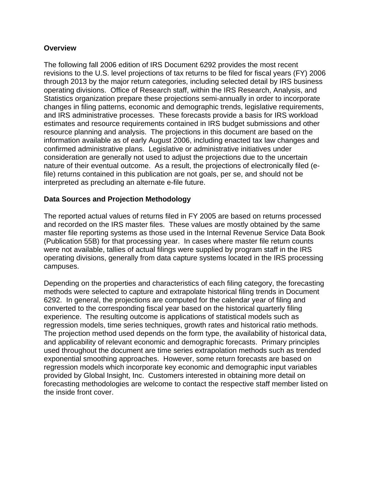#### **Overview**

The following fall 2006 edition of IRS Document 6292 provides the most recent revisions to the U.S. level projections of tax returns to be filed for fiscal years (FY) 2006 through 2013 by the major return categories, including selected detail by IRS business operating divisions. Office of Research staff, within the IRS Research, Analysis, and Statistics organization prepare these projections semi-annually in order to incorporate changes in filing patterns, economic and demographic trends, legislative requirements, and IRS administrative processes. These forecasts provide a basis for IRS workload estimates and resource requirements contained in IRS budget submissions and other resource planning and analysis. The projections in this document are based on the information available as of early August 2006, including enacted tax law changes and confirmed administrative plans. Legislative or administrative initiatives under consideration are generally not used to adjust the projections due to the uncertain nature of their eventual outcome. As a result, the projections of electronically filed (efile) returns contained in this publication are not goals, per se, and should not be interpreted as precluding an alternate e-file future.

#### **Data Sources and Projection Methodology**

The reported actual values of returns filed in FY 2005 are based on returns processed and recorded on the IRS master files. These values are mostly obtained by the same master file reporting systems as those used in the Internal Revenue Service Data Book (Publication 55B) for that processing year. In cases where master file return counts were not available, tallies of actual filings were supplied by program staff in the IRS operating divisions, generally from data capture systems located in the IRS processing campuses.

Depending on the properties and characteristics of each filing category, the forecasting methods were selected to capture and extrapolate historical filing trends in Document 6292. In general, the projections are computed for the calendar year of filing and converted to the corresponding fiscal year based on the historical quarterly filing experience. The resulting outcome is applications of statistical models such as regression models, time series techniques, growth rates and historical ratio methods. The projection method used depends on the form type, the availability of historical data, and applicability of relevant economic and demographic forecasts. Primary principles used throughout the document are time series extrapolation methods such as trended exponential smoothing approaches. However, some return forecasts are based on regression models which incorporate key economic and demographic input variables provided by Global Insight, Inc. Customers interested in obtaining more detail on forecasting methodologies are welcome to contact the respective staff member listed on the inside front cover.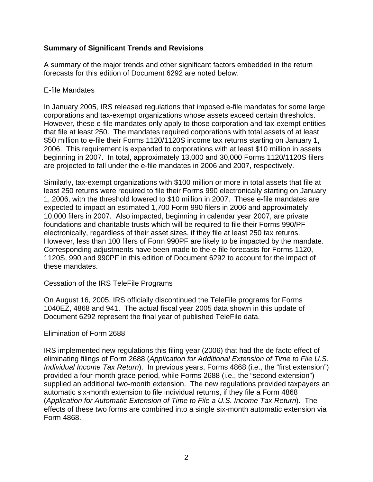#### **Summary of Significant Trends and Revisions**

A summary of the major trends and other significant factors embedded in the return forecasts for this edition of Document 6292 are noted below.

#### E-file Mandates

In January 2005, IRS released regulations that imposed e-file mandates for some large corporations and tax-exempt organizations whose assets exceed certain thresholds. However, these e-file mandates only apply to those corporation and tax-exempt entities that file at least 250. The mandates required corporations with total assets of at least \$50 million to e-file their Forms 1120/1120S income tax returns starting on January 1, 2006. This requirement is expanded to corporations with at least \$10 million in assets beginning in 2007. In total, approximately 13,000 and 30,000 Forms 1120/1120S filers are projected to fall under the e-file mandates in 2006 and 2007, respectively.

Similarly, tax-exempt organizations with \$100 million or more in total assets that file at least 250 returns were required to file their Forms 990 electronically starting on January 1, 2006, with the threshold lowered to \$10 million in 2007. These e-file mandates are expected to impact an estimated 1,700 Form 990 filers in 2006 and approximately 10,000 filers in 2007. Also impacted, beginning in calendar year 2007, are private foundations and charitable trusts which will be required to file their Forms 990/PF electronically, regardless of their asset sizes, if they file at least 250 tax returns. However, less than 100 filers of Form 990PF are likely to be impacted by the mandate. Corresponding adjustments have been made to the e-file forecasts for Forms 1120, 1120S, 990 and 990PF in this edition of Document 6292 to account for the impact of these mandates.

Cessation of the IRS TeleFile Programs

On August 16, 2005, IRS officially discontinued the TeleFile programs for Forms 1040EZ, 4868 and 941. The actual fiscal year 2005 data shown in this update of Document 6292 represent the final year of published TeleFile data.

#### Elimination of Form 2688

IRS implemented new regulations this filing year (2006) that had the de facto effect of eliminating filings of Form 2688 (*Application for Additional Extension of Time to File U.S. Individual Income Tax Return*). In previous years, Forms 4868 (i.e., the "first extension") provided a four-month grace period, while Forms 2688 (i.e., the "second extension") supplied an additional two-month extension. The new regulations provided taxpayers an automatic six-month extension to file individual returns, if they file a Form 4868 (*Application for Automatic Extension of Time to File a U.S. Income Tax Return*). The effects of these two forms are combined into a single six-month automatic extension via Form 4868.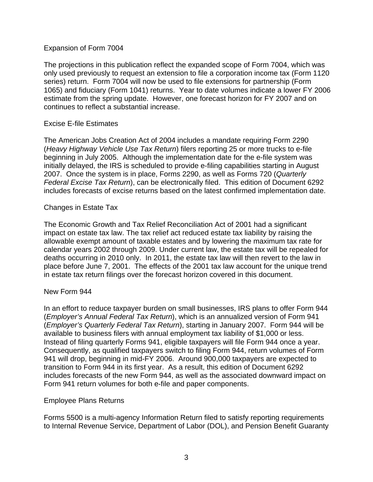#### Expansion of Form 7004

The projections in this publication reflect the expanded scope of Form 7004, which was only used previously to request an extension to file a corporation income tax (Form 1120 series) return. Form 7004 will now be used to file extensions for partnership (Form 1065) and fiduciary (Form 1041) returns. Year to date volumes indicate a lower FY 2006 estimate from the spring update. However, one forecast horizon for FY 2007 and on continues to reflect a substantial increase.

#### Excise E-file Estimates

The American Jobs Creation Act of 2004 includes a mandate requiring Form 2290 (*Heavy Highway Vehicle Use Tax Return*) filers reporting 25 or more trucks to e-file beginning in July 2005. Although the implementation date for the e-file system was initially delayed, the IRS is scheduled to provide e-filing capabilities starting in August 2007. Once the system is in place, Forms 2290, as well as Forms 720 (*Quarterly Federal Excise Tax Return*), can be electronically filed. This edition of Document 6292 includes forecasts of excise returns based on the latest confirmed implementation date.

#### Changes in Estate Tax

The Economic Growth and Tax Relief Reconciliation Act of 2001 had a significant impact on estate tax law. The tax relief act reduced estate tax liability by raising the allowable exempt amount of taxable estates and by lowering the maximum tax rate for calendar years 2002 through 2009. Under current law, the estate tax will be repealed for deaths occurring in 2010 only. In 2011, the estate tax law will then revert to the law in place before June 7, 2001. The effects of the 2001 tax law account for the unique trend in estate tax return filings over the forecast horizon covered in this document.

#### New Form 944

In an effort to reduce taxpayer burden on small businesses, IRS plans to offer Form 944 (*Employer's Annual Federal Tax Return*), which is an annualized version of Form 941 (*Employer's Quarterly Federal Tax Return*), starting in January 2007. Form 944 will be available to business filers with annual employment tax liability of \$1,000 or less. Instead of filing quarterly Forms 941, eligible taxpayers will file Form 944 once a year. Consequently, as qualified taxpayers switch to filing Form 944, return volumes of Form 941 will drop, beginning in mid-FY 2006. Around 900,000 taxpayers are expected to transition to Form 944 in its first year. As a result, this edition of Document 6292 includes forecasts of the new Form 944, as well as the associated downward impact on Form 941 return volumes for both e-file and paper components.

#### Employee Plans Returns

Forms 5500 is a multi-agency Information Return filed to satisfy reporting requirements to Internal Revenue Service, Department of Labor (DOL), and Pension Benefit Guaranty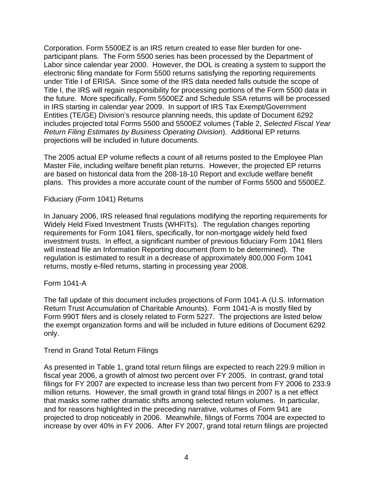Corporation. Form 5500EZ is an IRS return created to ease filer burden for oneparticipant plans. The Form 5500 series has been processed by the Department of Labor since calendar year 2000. However, the DOL is creating a system to support the electronic filing mandate for Form 5500 returns satisfying the reporting requirements under Title I of ERISA. Since some of the IRS data needed falls outside the scope of Title I, the IRS will regain responsibility for processing portions of the Form 5500 data in the future. More specifically, Form 5500EZ and Schedule SSA returns will be processed in IRS starting in calendar year 2009. In support of IRS Tax Exempt/Government Entities (TE/GE) Division's resource planning needs, this update of Document 6292 includes projected total Forms 5500 and 5500EZ volumes (Table 2, *Selected Fiscal Year Return Filing Estimates by Business Operating Division*). Additional EP returns projections will be included in future documents.

The 2005 actual EP volume reflects a count of all returns posted to the Employee Plan Master File, including welfare benefit plan returns. However, the projected EP returns are based on historical data from the 208-18-10 Report and exclude welfare benefit plans. This provides a more accurate count of the number of Forms 5500 and 5500EZ.

Fiduciary (Form 1041) Returns

In January 2006, IRS released final regulations modifying the reporting requirements for Widely Held Fixed Investment Trusts (WHFITs). The regulation changes reporting requirements for Form 1041 filers, specifically, for non-mortgage widely held fixed investment trusts. In effect, a significant number of previous fiduciary Form 1041 filers will instead file an Information Reporting document (form to be determined). The regulation is estimated to result in a decrease of approximately 800,000 Form 1041 returns, mostly e-filed returns, starting in processing year 2008.

Form 1041-A

The fall update of this document includes projections of Form 1041-A (U.S. Information Return Trust Accumulation of Charitable Amounts). Form 1041-A is mostly filed by Form 990T filers and is closely related to Form 5227. The projections are listed below the exempt organization forms and will be included in future editions of Document 6292 only.

#### Trend in Grand Total Return Filings

As presented in Table 1, grand total return filings are expected to reach 229.9 million in fiscal year 2006, a growth of almost two percent over FY 2005. In contrast, grand total filings for FY 2007 are expected to increase less than two percent from FY 2006 to 233.9 million returns. However, the small growth in grand total filings in 2007 is a net effect that masks some rather dramatic shifts among selected return volumes. In particular, and for reasons highlighted in the preceding narrative, volumes of Form 941 are projected to drop noticeably in 2006. Meanwhile, filings of Forms 7004 are expected to increase by over 40% in FY 2006. After FY 2007, grand total return filings are projected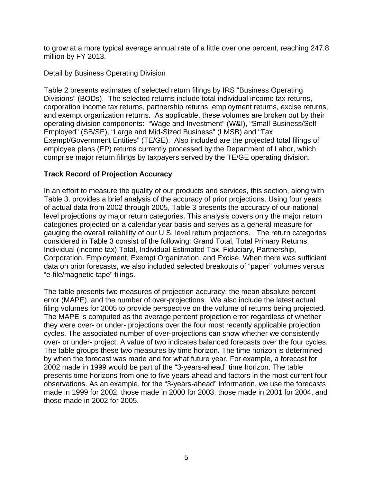to grow at a more typical average annual rate of a little over one percent, reaching 247.8 million by FY 2013.

Detail by Business Operating Division

Table 2 presents estimates of selected return filings by IRS "Business Operating Divisions" (BODs). The selected returns include total individual income tax returns, corporation income tax returns, partnership returns, employment returns, excise returns, and exempt organization returns. As applicable, these volumes are broken out by their operating division components: "Wage and Investment" (W&I), "Small Business/Self Employed" (SB/SE), "Large and Mid-Sized Business" (LMSB) and "Tax Exempt/Government Entities" (TE/GE). Also included are the projected total filings of employee plans (EP) returns currently processed by the Department of Labor, which comprise major return filings by taxpayers served by the TE/GE operating division.

#### **Track Record of Projection Accuracy**

In an effort to measure the quality of our products and services, this section, along with Table 3, provides a brief analysis of the accuracy of prior projections. Using four years of actual data from 2002 through 2005, Table 3 presents the accuracy of our national level projections by major return categories. This analysis covers only the major return categories projected on a calendar year basis and serves as a general measure for gauging the overall reliability of our U.S. level return projections. The return categories considered in Table 3 consist of the following: Grand Total, Total Primary Returns, Individual (income tax) Total, Individual Estimated Tax, Fiduciary, Partnership, Corporation, Employment, Exempt Organization, and Excise. When there was sufficient data on prior forecasts, we also included selected breakouts of "paper" volumes versus "e-file/magnetic tape" filings.

The table presents two measures of projection accuracy; the mean absolute percent error (MAPE), and the number of over-projections. We also include the latest actual filing volumes for 2005 to provide perspective on the volume of returns being projected. The MAPE is computed as the average percent projection error regardless of whether they were over- or under- projections over the four most recently applicable projection cycles. The associated number of over-projections can show whether we consistently over- or under- project. A value of two indicates balanced forecasts over the four cycles. The table groups these two measures by time horizon. The time horizon is determined by when the forecast was made and for what future year. For example, a forecast for 2002 made in 1999 would be part of the "3-years-ahead" time horizon. The table presents time horizons from one to five years ahead and factors in the most current four observations. As an example, for the "3-years-ahead" information, we use the forecasts made in 1999 for 2002, those made in 2000 for 2003, those made in 2001 for 2004, and those made in 2002 for 2005.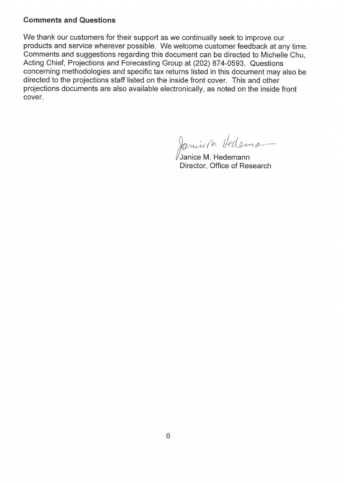#### **Comments and Questions**

We thank our customers for their support as we continually seek to improve our products and service wherever possible. We welcome customer feedback at any time. Comments and suggestions regarding this document can be directed to Michelle Chu. Acting Chief, Projections and Forecasting Group at (202) 874-0593. Questions concerning methodologies and specific tax returns listed in this document may also be directed to the projections staff listed on the inside front cover. This and other projections documents are also available electronically, as noted on the inside front cover.

Janice M. Hedeman

Janice M. Hedemann Director, Office of Research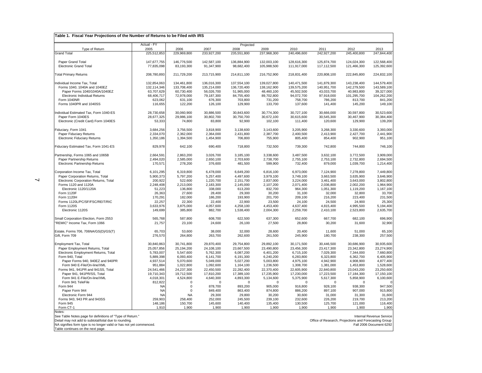| Table 1. Fiscal Year Projections of the Number of Returns to be Filed with IRS |                     |                     |                     |                     |                     |                        |                                                       |                     |                          |
|--------------------------------------------------------------------------------|---------------------|---------------------|---------------------|---------------------|---------------------|------------------------|-------------------------------------------------------|---------------------|--------------------------|
|                                                                                | Actual - FY         |                     |                     | Projected           |                     |                        |                                                       |                     |                          |
| Type of Return                                                                 | 2005                | 2006                | 2007                | 2008                | 2009                | 2010                   | 2011                                                  | 2012                | 2013                     |
| <b>Grand Total</b>                                                             | 225,512,853         | 229,969,800         | 233,927,200         | 235,551,800         | 237,968,300         | 240,496,600            | 242,927,200                                           | 245,400,800         | 247,844,400              |
| Paper Grand Total                                                              | 147,677,755         | 146,776,500         | 142,587,100         | 136,884,900         | 132,003,100         | 128,616,300            | 125,874,700                                           | 124,024,300         | 122,568,400              |
| Electronic Grand Total                                                         | 77,835,098          | 83,193,300          | 91,347,900          | 98,682,400          | 105,988,500         | 111,917,000            | 117,112,500                                           | 121,466,300         | 125,392,600              |
|                                                                                |                     |                     |                     |                     |                     |                        |                                                       |                     |                          |
| <b>Total Primary Returns</b>                                                   | 208,780,893         | 211,729,200         | 213,715,900         | 214,811,100         | 216,752,900         | 218,831,400            | 220,808,100                                           | 222,845,800         | 224,832,100              |
| Individual Income Tax, Total                                                   | 132,854,063         | 134,461,800         | 136,016,300         | 137,554,100         | 139,027,800         | 140,471,500            | 141,879,300                                           | 143,238,400         | 144,579,400              |
| Forms 1040, 1040A and 1040EZ                                                   | 132,114,346         | 133,708,400         | 135,214,000         | 136,720,400         | 138,162,900         | 139,575,200            | 140,951,700                                           | 142,279,500         | 143,589,100              |
| Paper Forms 1040/1040A/1040EZ                                                  | 63,707,629          | 60,730,400          | 56,026,700          | 51,965,000          | 48,460,100          | 45,502,500             | 43,033,700                                            | 40,983,800          | 39,327,000               |
| Electronic Individual Returns                                                  | 68,406,717          | 72,978,000          | 79,187,300          | 84,755,400          | 89,702,800          | 94,072,700             | 97,918,000                                            | 101,295,700         | 104,262,200              |
| Form 1040NR                                                                    | 623,062             | 631,100             | 676,300             | 703,800             | 731,200             | 758,700                | 786,200                                               | 813,700             | 841,200                  |
| Forms 1040PR and 1040SS                                                        | 116,655             | 122,200             | 126,100             | 129,900             | 133,700             | 137,600                | 141,400                                               | 145,200             | 149,100                  |
| Individual Estimated Tax, Form 1040-ES                                         | 28,730,658          | 30,060,900          | 30,886,500          | 30,843,600          | 30,774,300          | 30,727,100             | 30,666,000                                            | 30,597,800          | 30,523,600               |
| Paper Form 1040ES                                                              | 28,677,325          | 29,986,100          | 30,802,700          | 30,750,700          | 30,672,100          | 30,615,600             | 30,545,300                                            | 30,467,900          | 30,384,400               |
| Electronic (Credit Card) Form 1040ES                                           | 53,333              | 74,800              | 83,800              | 92,900              | 102,100             | 111,400                | 120,600                                               | 129,900             | 139,200                  |
| Fiduciary, Form 1041                                                           | 3,684,256           | 3,756,500           | 3,818,900           | 3,138,600           | 3,143,600           | 3,205,900              | 3,268,300                                             | 3,330,600           | 3,393,000                |
| Paper Fiduciary Returns                                                        | 2,334,070           | 2,362,000           | 2,364,000           | 2,431,800           | 2,387,700           | 2,400,500              | 2,413,900                                             | 2,427,700           | 2,441,900                |
| <b>Electronic Fiduciary Returns</b>                                            | 1,350,186           | 1,394,500           | 1,454,900           | 706,800             | 755,900             | 805,400                | 854,400                                               | 902,900             | 951,100                  |
| Fiduciary Estimated Tax, Form 1041-ES                                          | 829,978             | 642,100             | 690,400             | 718,800             | 732,500             | 739,300                | 742,800                                               | 744,800             | 746,100                  |
| Partnership, Forms 1065 and 1065B                                              | 2,664,591           | 2,863,200           | 3,026,700           | 3,185,100           | 3,338,600           | 3,487,500              | 3,632,100                                             | 3,772,500           | 3,909,000                |
| Paper Partnership Returns                                                      | 2,494,020           | 2,585,000           | 2,650,100           | 2,703,600           | 2,738,700           | 2,755,100              | 2,753,100                                             | 2,732,800           | 2,694,500                |
| Electronic Partnership Returns                                                 | 170,571             | 278,200             | 376,600             | 481,500             | 599,900             | 732,400                | 879,000                                               | 1,039,700           | 1,214,400                |
| Corporation Income Tax, Total                                                  | 6,101,295           | 6,319,800           | 6,478,000           | 6,649,200           | 6,816,100           | 6,973,000              | 7,124,900                                             | 7,278,800           | 7,449,800                |
| Paper Corporation Returns, Total                                               | 5,900,373           | 5,797,200           | 5,257,400           | 4,497,600           | 3,979,100           | 3,749,100              | 3,663,500                                             | 3,635,900           | 3,646,900                |
| Electronic Corporation Returns, Total                                          | 200,922             | 522,600             | 1,220,700           | 2,151,700           | 2,837,000           | 3,224,000              | 3,461,400                                             | 3,643,000           | 3,802,800                |
| Forms 1120 and 1120A                                                           | 2,248,408           | 2,213,000           | 2,183,300           | 2,145,000           | 2,107,200           | 2,071,400              | 2,036,800                                             | 2,002,200           | 1,964,900                |
| Electronic 1120/1120A                                                          | 51,223              | 136,800             | 338,000             | 613,200             | 832,700             | 964,300                | 1,051,300                                             | 1,119,200           | 1,167,100                |
| Form 1120F                                                                     | 26,363              | 27,600              | 28,400              | 29,300              | 30,200              | 31,100                 | 32,000                                                | 32,800              | 33,700                   |
| Form 1120H                                                                     | 170,291             | 182,000             | 186,200             | 193,900             | 201,700             | 209,100                | 216,200                                               | 223,400             | 231,500                  |
| Forms 1120L/PC/SF/FSC/REIT/RIC<br>Form 1120S                                   | 22,257<br>3,633,976 | 22,300<br>3,875,000 | 22,400<br>4,057,600 | 22,900<br>4,258,100 | 23,500<br>4,453,400 | 24,100                 | 24,500                                                | 24,900<br>4,995,500 | 25,300<br>5,194,400      |
| Electronic 1120S                                                               | 149,699             | 385,800             | 882,700             | 1,538,400           | 2,004,300           | 4,637,400<br>2,259,700 | 4,815,400<br>2,410,100                                | 2,523,800           | 2,635,700                |
|                                                                                |                     |                     |                     |                     |                     |                        |                                                       |                     |                          |
| Small Corporation Election, Form 2553<br>"REMIC" Income Tax, Form 1066         | 565,768<br>21,757   | 587,800<br>23,100   | 608,700<br>24,600   | 622,500<br>26,100   | 637,300<br>27,500   | 652,600<br>28,800      | 667,700<br>30,200                                     | 682,100<br>31,600   | 696,900<br>32,900        |
| Estate, Forms 706, 706NA/GS(D)/GS(T)                                           | 65,703              | 53,600              | 38,000              | 32,000              | 28,600              | 20,400                 | 11,600                                                | 51,000              | 65,100                   |
| Gift, Form 709                                                                 | 276,570             | 264,800             | 263,700             | 262,600             | 261,500             | 245,900                | 180,700                                               | 238,300             | 257,500                  |
| Employment Tax, Total                                                          | 30,840,863          | 30,741,800          | 29,870,400          | 29,754,800          | 29,892,100          | 30,171,500             | 30,446,500                                            | 30,686,900          | 30,935,600               |
| Paper Employment Returns, Total                                                | 25,057,856          | 25,194,200          | 24,108,100          | 23,667,500          | 23,490,800          | 23.456.300             | 23,417,300                                            | 23,342,800          | 23,274,900               |
| Electronic Employment Returns, Total                                           | 5,783,007           | 5,547,600           | 5,762,300           | 6,087,200           | 6,401,200           | 6,715,100              | 7,029,300                                             | 7,344,000           | 7,660,800                |
| Form 940, Total                                                                | 5,889,398           | 6,093,400           | 6,141,700           | 6,191,300           | 6,240,200           | 6,283,800              | 6,323,800                                             | 6,362,700           | 6,405,900                |
| Paper Forms 940, 940EZ and 940PR                                               | 4,937,514           | 5,070,600           | 5,049,000           | 5,027,200           | 5,003,800           | 4,975,100              | 4,942,900                                             | 4,908,900           | 4,877,400                |
| Form 940 E-File/On-line/XML                                                    | 951,884             | 1,022,800           | 1,092,600           | 1,164,100           | 1,236,500           | 1,308,700              | 1,381,000                                             | 1,453,800           | 1,528,600                |
| Forms 941, 941PR and 941SS, Total                                              | 24,541,466          | 24,237,300          | 22,450,500          | 22,282,400          | 22,370,400          | 22,605,900             | 22,840,800                                            | 23,043,200          | 23,250,600               |
| Paper 941, 941 PR/SS, Total                                                    | 19,710,343          | 19,712,500          | 17,810,200          | 17,389,100          | 17,235,900          | 17,230,000             | 17,223,500                                            | 17,184,300          | 17,150,100               |
| Form 941 E-File/On-line/XML                                                    | 4,018,301           | 4,524,800           | 4,640,300           | 4,893,300           | 5,134,600           | 5,375,900              | 5,617,300                                             | 5,858,900           | 6,100,600                |
| Form 941 TeleFile                                                              | 812,822             | $\Omega$            | $\Omega$            | $\mathbf 0$         | $\Omega$            | $\Omega$               | $\mathbf 0$                                           | $\Omega$            | 0                        |
| Form 944                                                                       | N <sub>A</sub>      | $\mathbf 0$         | 878,700             | 893,200             | 905,000             | 916,800                | 928,100                                               | 938,300             | 947,500                  |
| Paper Form 944                                                                 | <b>NA</b><br>NΑ     | $\mathsf 0$         | 849,400<br>29,300   | 863,400             | 874,800             | 886,200                | 897,100<br>31,000                                     | 907,000<br>31,300   | 915,800<br>31,600        |
| Electronic Form 944<br>Forms 943, 943 PR and 943SS                             | 259.903             | NA.<br>258,400      | 252,000             | 29,800<br>245,500   | 30,200<br>239,100   | 30,600<br>232,600      | 226,200                                               | 219,700             | 213,200                  |
| Form 945                                                                       | 148,186             | 150,700             | 145,600             | 140,400             | 135,400             | 130,500                | 125,700                                               | 121,000             | 116,400                  |
| Form CT-1                                                                      | 1,910               | 1,900               | 1,900               | 1,900               | 1,900               | 1,900                  | 1,900                                                 | 1,900               | 1,900                    |
| Notes:                                                                         |                     |                     |                     |                     |                     |                        |                                                       |                     |                          |
| See Table Notes page for definitions of "Type of Return."                      |                     |                     |                     |                     |                     |                        |                                                       |                     | Internal Revenue Service |
| Detail may not add to subtotal/total due to rounding.                          |                     |                     |                     |                     |                     |                        | Office of Research, Projections and Forecasting Group |                     |                          |
| NA signifies form type is no longer valid or has not yet commenced.            |                     |                     |                     |                     |                     |                        |                                                       |                     | Fall 2006 Document 6292  |
| Table continues on the next page.                                              |                     |                     |                     |                     |                     |                        |                                                       |                     |                          |

 $\blacktriangleleft$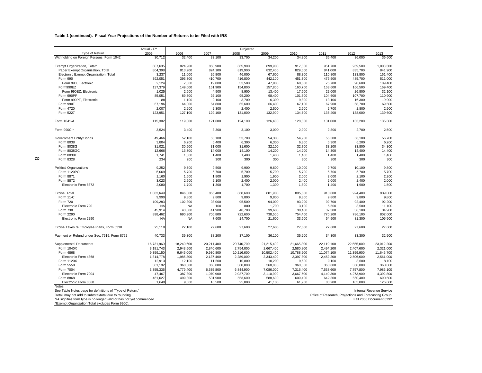| 2007<br>33,100<br>850,900<br>824,100<br>26,800<br>410,700<br>19,800<br>151,900<br>4,900<br>92,100<br>2,100<br>64,800<br>2,300<br>129,100<br>121,600<br>3,300<br>53,100<br>6,400<br>31,000<br>14,000<br>1,400<br>300<br>9,500<br>5,700<br>1,800<br>2,100<br>1,300 | Projected<br>2008<br>33,700<br>865,900<br>819,900<br>46,000<br>416,800<br>33,500<br>154,800<br>8,900<br>95,200<br>3,700<br>65,600<br>2,400<br>131,000<br>124,100<br>3,100<br>53,700<br>6,300<br>31,600<br>14,100<br>1,400<br>300<br>9,900<br>5,700<br>1,900<br>2,400 | 2009<br>34,200<br>899,900<br>832,400<br>67,600<br>442,100<br>47,900<br>157,800<br>13,400<br>98,400<br>6,300<br>66,400<br>2,500<br>132,900<br>126,400<br>3,000<br>54,300<br>6,300<br>32,100<br>14,200<br>1,400<br>300<br>9,600<br>5.700<br>1,900<br>2,000 | 2010<br>34,800<br>917,800<br>829,500<br>88,300<br>451,300<br>60,800<br>160,700<br>17,600<br>101,500<br>9,800<br>67,100<br>2,600<br>134,700<br>128,800<br>2,900<br>54,900<br>6,300<br>32,700<br>14,200<br>1,400<br>300<br>10,000<br>5,700<br>2,000 | 2011<br>35,400<br>951,700<br>841,000<br>110,800<br>476,500<br>75,700<br>163,600<br>22,000<br>104,600<br>13,100<br>67,900<br>2,700<br>136,400<br>131,000<br>2,800<br>55,500<br>6,300<br>33,200<br>14,300<br>1,400<br>300<br>9,700<br>5,700 | 2012<br>36,000<br>969,500<br>835,700<br>133,800<br>485,700<br>90,600<br>166,500<br>26,800<br>107,700<br>16,300<br>68,700<br>2,800<br>138,000<br>133,200<br>2,700<br>56,100<br>6,200<br>33,800<br>14,400<br>1,400<br>300<br>10,100<br>5,700 | 2013                                                                                                         |
|------------------------------------------------------------------------------------------------------------------------------------------------------------------------------------------------------------------------------------------------------------------|----------------------------------------------------------------------------------------------------------------------------------------------------------------------------------------------------------------------------------------------------------------------|----------------------------------------------------------------------------------------------------------------------------------------------------------------------------------------------------------------------------------------------------------|---------------------------------------------------------------------------------------------------------------------------------------------------------------------------------------------------------------------------------------------------|-------------------------------------------------------------------------------------------------------------------------------------------------------------------------------------------------------------------------------------------|--------------------------------------------------------------------------------------------------------------------------------------------------------------------------------------------------------------------------------------------|--------------------------------------------------------------------------------------------------------------|
|                                                                                                                                                                                                                                                                  |                                                                                                                                                                                                                                                                      |                                                                                                                                                                                                                                                          |                                                                                                                                                                                                                                                   |                                                                                                                                                                                                                                           |                                                                                                                                                                                                                                            | 36,600                                                                                                       |
|                                                                                                                                                                                                                                                                  |                                                                                                                                                                                                                                                                      |                                                                                                                                                                                                                                                          |                                                                                                                                                                                                                                                   |                                                                                                                                                                                                                                           |                                                                                                                                                                                                                                            | 1,003,300<br>841,900<br>161,400                                                                              |
|                                                                                                                                                                                                                                                                  |                                                                                                                                                                                                                                                                      |                                                                                                                                                                                                                                                          |                                                                                                                                                                                                                                                   |                                                                                                                                                                                                                                           |                                                                                                                                                                                                                                            |                                                                                                              |
|                                                                                                                                                                                                                                                                  |                                                                                                                                                                                                                                                                      |                                                                                                                                                                                                                                                          |                                                                                                                                                                                                                                                   |                                                                                                                                                                                                                                           |                                                                                                                                                                                                                                            |                                                                                                              |
|                                                                                                                                                                                                                                                                  |                                                                                                                                                                                                                                                                      |                                                                                                                                                                                                                                                          |                                                                                                                                                                                                                                                   |                                                                                                                                                                                                                                           |                                                                                                                                                                                                                                            | 511,000<br>109,400                                                                                           |
|                                                                                                                                                                                                                                                                  |                                                                                                                                                                                                                                                                      |                                                                                                                                                                                                                                                          |                                                                                                                                                                                                                                                   |                                                                                                                                                                                                                                           |                                                                                                                                                                                                                                            |                                                                                                              |
|                                                                                                                                                                                                                                                                  |                                                                                                                                                                                                                                                                      |                                                                                                                                                                                                                                                          |                                                                                                                                                                                                                                                   |                                                                                                                                                                                                                                           |                                                                                                                                                                                                                                            | 169,400<br>32,100<br>110,900<br>19,900<br>69,500<br>2,900<br>139,600<br>135,300                              |
|                                                                                                                                                                                                                                                                  |                                                                                                                                                                                                                                                                      |                                                                                                                                                                                                                                                          |                                                                                                                                                                                                                                                   |                                                                                                                                                                                                                                           |                                                                                                                                                                                                                                            |                                                                                                              |
|                                                                                                                                                                                                                                                                  |                                                                                                                                                                                                                                                                      |                                                                                                                                                                                                                                                          |                                                                                                                                                                                                                                                   |                                                                                                                                                                                                                                           |                                                                                                                                                                                                                                            |                                                                                                              |
|                                                                                                                                                                                                                                                                  |                                                                                                                                                                                                                                                                      |                                                                                                                                                                                                                                                          |                                                                                                                                                                                                                                                   |                                                                                                                                                                                                                                           |                                                                                                                                                                                                                                            |                                                                                                              |
|                                                                                                                                                                                                                                                                  |                                                                                                                                                                                                                                                                      |                                                                                                                                                                                                                                                          |                                                                                                                                                                                                                                                   |                                                                                                                                                                                                                                           |                                                                                                                                                                                                                                            |                                                                                                              |
|                                                                                                                                                                                                                                                                  |                                                                                                                                                                                                                                                                      |                                                                                                                                                                                                                                                          |                                                                                                                                                                                                                                                   |                                                                                                                                                                                                                                           |                                                                                                                                                                                                                                            |                                                                                                              |
|                                                                                                                                                                                                                                                                  |                                                                                                                                                                                                                                                                      |                                                                                                                                                                                                                                                          |                                                                                                                                                                                                                                                   |                                                                                                                                                                                                                                           |                                                                                                                                                                                                                                            |                                                                                                              |
|                                                                                                                                                                                                                                                                  |                                                                                                                                                                                                                                                                      |                                                                                                                                                                                                                                                          |                                                                                                                                                                                                                                                   |                                                                                                                                                                                                                                           |                                                                                                                                                                                                                                            |                                                                                                              |
|                                                                                                                                                                                                                                                                  |                                                                                                                                                                                                                                                                      |                                                                                                                                                                                                                                                          |                                                                                                                                                                                                                                                   |                                                                                                                                                                                                                                           |                                                                                                                                                                                                                                            | 2,500<br>56,700<br>6,200<br>34,300<br>14,400<br>1,400<br>300<br>9,800<br>5,700                               |
|                                                                                                                                                                                                                                                                  |                                                                                                                                                                                                                                                                      |                                                                                                                                                                                                                                                          |                                                                                                                                                                                                                                                   |                                                                                                                                                                                                                                           |                                                                                                                                                                                                                                            |                                                                                                              |
|                                                                                                                                                                                                                                                                  |                                                                                                                                                                                                                                                                      |                                                                                                                                                                                                                                                          |                                                                                                                                                                                                                                                   |                                                                                                                                                                                                                                           |                                                                                                                                                                                                                                            |                                                                                                              |
|                                                                                                                                                                                                                                                                  |                                                                                                                                                                                                                                                                      |                                                                                                                                                                                                                                                          |                                                                                                                                                                                                                                                   |                                                                                                                                                                                                                                           |                                                                                                                                                                                                                                            |                                                                                                              |
|                                                                                                                                                                                                                                                                  |                                                                                                                                                                                                                                                                      |                                                                                                                                                                                                                                                          |                                                                                                                                                                                                                                                   |                                                                                                                                                                                                                                           |                                                                                                                                                                                                                                            |                                                                                                              |
|                                                                                                                                                                                                                                                                  |                                                                                                                                                                                                                                                                      |                                                                                                                                                                                                                                                          |                                                                                                                                                                                                                                                   |                                                                                                                                                                                                                                           |                                                                                                                                                                                                                                            |                                                                                                              |
|                                                                                                                                                                                                                                                                  |                                                                                                                                                                                                                                                                      |                                                                                                                                                                                                                                                          |                                                                                                                                                                                                                                                   |                                                                                                                                                                                                                                           |                                                                                                                                                                                                                                            |                                                                                                              |
|                                                                                                                                                                                                                                                                  |                                                                                                                                                                                                                                                                      |                                                                                                                                                                                                                                                          |                                                                                                                                                                                                                                                   |                                                                                                                                                                                                                                           |                                                                                                                                                                                                                                            |                                                                                                              |
|                                                                                                                                                                                                                                                                  |                                                                                                                                                                                                                                                                      |                                                                                                                                                                                                                                                          |                                                                                                                                                                                                                                                   |                                                                                                                                                                                                                                           |                                                                                                                                                                                                                                            |                                                                                                              |
|                                                                                                                                                                                                                                                                  |                                                                                                                                                                                                                                                                      |                                                                                                                                                                                                                                                          |                                                                                                                                                                                                                                                   |                                                                                                                                                                                                                                           |                                                                                                                                                                                                                                            |                                                                                                              |
|                                                                                                                                                                                                                                                                  |                                                                                                                                                                                                                                                                      |                                                                                                                                                                                                                                                          |                                                                                                                                                                                                                                                   |                                                                                                                                                                                                                                           |                                                                                                                                                                                                                                            | 2,200                                                                                                        |
|                                                                                                                                                                                                                                                                  |                                                                                                                                                                                                                                                                      |                                                                                                                                                                                                                                                          |                                                                                                                                                                                                                                                   | 2,000                                                                                                                                                                                                                                     | 2,100                                                                                                                                                                                                                                      |                                                                                                              |
|                                                                                                                                                                                                                                                                  |                                                                                                                                                                                                                                                                      | 1,300                                                                                                                                                                                                                                                    | 2,400<br>1,800                                                                                                                                                                                                                                    | 2,000<br>1,400                                                                                                                                                                                                                            | 2,400<br>1,900                                                                                                                                                                                                                             | 2,000<br>1,500                                                                                               |
|                                                                                                                                                                                                                                                                  | 1,700                                                                                                                                                                                                                                                                |                                                                                                                                                                                                                                                          |                                                                                                                                                                                                                                                   |                                                                                                                                                                                                                                           |                                                                                                                                                                                                                                            |                                                                                                              |
| 856,400                                                                                                                                                                                                                                                          | 868,600                                                                                                                                                                                                                                                              | 881,900                                                                                                                                                                                                                                                  | 895,800                                                                                                                                                                                                                                           | 910,000                                                                                                                                                                                                                                   | 924,400                                                                                                                                                                                                                                    | 939,000                                                                                                      |
| 9,800                                                                                                                                                                                                                                                            | 9,800                                                                                                                                                                                                                                                                | 9,800                                                                                                                                                                                                                                                    | 9,800                                                                                                                                                                                                                                             | 9,800                                                                                                                                                                                                                                     | 9,800                                                                                                                                                                                                                                      | 9,800                                                                                                        |
| 98,000                                                                                                                                                                                                                                                           | 95,500                                                                                                                                                                                                                                                               | 94,000                                                                                                                                                                                                                                                   | 93,200                                                                                                                                                                                                                                            | 92,700                                                                                                                                                                                                                                    | 92,400                                                                                                                                                                                                                                     | 92,200                                                                                                       |
| 100                                                                                                                                                                                                                                                              | 800                                                                                                                                                                                                                                                                  | 1,700                                                                                                                                                                                                                                                    | 3,100                                                                                                                                                                                                                                             | 5,500                                                                                                                                                                                                                                     | 8,500                                                                                                                                                                                                                                      | 11,100                                                                                                       |
| 41,900                                                                                                                                                                                                                                                           | 40,700                                                                                                                                                                                                                                                               | 39,600                                                                                                                                                                                                                                                   | 38,400                                                                                                                                                                                                                                            | 37,300                                                                                                                                                                                                                                    | 36,100                                                                                                                                                                                                                                     | 34,900                                                                                                       |
| 706,800                                                                                                                                                                                                                                                          | 722,600                                                                                                                                                                                                                                                              | 738,500                                                                                                                                                                                                                                                  | 754,400                                                                                                                                                                                                                                           | 770,200                                                                                                                                                                                                                                   | 786,100                                                                                                                                                                                                                                    | 802,000                                                                                                      |
| 7,600                                                                                                                                                                                                                                                            | 14,700                                                                                                                                                                                                                                                               | 21,600                                                                                                                                                                                                                                                   | 33,600                                                                                                                                                                                                                                            | 54,500                                                                                                                                                                                                                                    | 81,300                                                                                                                                                                                                                                     | 105,500                                                                                                      |
| 27,600                                                                                                                                                                                                                                                           | 27,600                                                                                                                                                                                                                                                               | 27,600                                                                                                                                                                                                                                                   | 27,600                                                                                                                                                                                                                                            | 27,600                                                                                                                                                                                                                                    | 27,600                                                                                                                                                                                                                                     | 27,600                                                                                                       |
| 38,200                                                                                                                                                                                                                                                           | 37,100                                                                                                                                                                                                                                                               | 36,100                                                                                                                                                                                                                                                   | 35,200                                                                                                                                                                                                                                            | 34,300                                                                                                                                                                                                                                    | 33,300                                                                                                                                                                                                                                     | 32,500                                                                                                       |
| 20,211,400                                                                                                                                                                                                                                                       | 20,740,700                                                                                                                                                                                                                                                           | 21,215,400                                                                                                                                                                                                                                               | 21,665,300                                                                                                                                                                                                                                        | 22,119,100                                                                                                                                                                                                                                | 22,555,000                                                                                                                                                                                                                                 | 23,012,200                                                                                                   |
| 2,840,600                                                                                                                                                                                                                                                        | 2,754,000                                                                                                                                                                                                                                                            | 2,667,400                                                                                                                                                                                                                                                | 2,580,800                                                                                                                                                                                                                                         | 2,494,200                                                                                                                                                                                                                                 | 2,407,600                                                                                                                                                                                                                                  | 2,321,000                                                                                                    |
| 9,930,800                                                                                                                                                                                                                                                        | 10,216,600                                                                                                                                                                                                                                                           | 10,502,400                                                                                                                                                                                                                                               | 10,788,200                                                                                                                                                                                                                                        | 11,074,100                                                                                                                                                                                                                                | 11,359,900                                                                                                                                                                                                                                 | 11,645,700                                                                                                   |
| 2,137,400                                                                                                                                                                                                                                                        | 2,289,000                                                                                                                                                                                                                                                            | 2,343,400                                                                                                                                                                                                                                                | 2,397,800                                                                                                                                                                                                                                         | 2,452,200                                                                                                                                                                                                                                 | 2,506,600                                                                                                                                                                                                                                  | 2,561,000                                                                                                    |
| 11,500                                                                                                                                                                                                                                                           | 10,800                                                                                                                                                                                                                                                               | 10,200                                                                                                                                                                                                                                                   | 9,600                                                                                                                                                                                                                                             | 9,100                                                                                                                                                                                                                                     | 8,600                                                                                                                                                                                                                                      | 8,100                                                                                                        |
| 360,800                                                                                                                                                                                                                                                          | 360,800                                                                                                                                                                                                                                                              | 360,800                                                                                                                                                                                                                                                  | 360,800                                                                                                                                                                                                                                           | 360,800                                                                                                                                                                                                                                   | 360,800                                                                                                                                                                                                                                    | 360,800                                                                                                      |
| 6,535,800                                                                                                                                                                                                                                                        | 6,844,900                                                                                                                                                                                                                                                            | 7,086,000                                                                                                                                                                                                                                                | 7,316,400                                                                                                                                                                                                                                         | 7,538,600                                                                                                                                                                                                                                 | 7,757,800                                                                                                                                                                                                                                  | 7,986,100                                                                                                    |
| 1,070,900                                                                                                                                                                                                                                                        | 2,027,700                                                                                                                                                                                                                                                            | 3,110,900                                                                                                                                                                                                                                                | 3,667,500                                                                                                                                                                                                                                         | 4,140,300                                                                                                                                                                                                                                 | 4,273,900                                                                                                                                                                                                                                  | 4,392,800                                                                                                    |
| 531,900                                                                                                                                                                                                                                                          | 553,600                                                                                                                                                                                                                                                              | 588,600                                                                                                                                                                                                                                                  | 609,400                                                                                                                                                                                                                                           | 642,300                                                                                                                                                                                                                                   | 660,400                                                                                                                                                                                                                                    | 690,600                                                                                                      |
| 16,500                                                                                                                                                                                                                                                           | 25,000                                                                                                                                                                                                                                                               | 41,100                                                                                                                                                                                                                                                   | 61,900                                                                                                                                                                                                                                            | 83,200                                                                                                                                                                                                                                    | 103,000                                                                                                                                                                                                                                    | 126,600                                                                                                      |
| <b>NA</b>                                                                                                                                                                                                                                                        |                                                                                                                                                                                                                                                                      |                                                                                                                                                                                                                                                          |                                                                                                                                                                                                                                                   |                                                                                                                                                                                                                                           |                                                                                                                                                                                                                                            | Internal Revenue Service<br>Office of Research, Projections and Forecasting Group<br>Fall 2006 Document 6292 |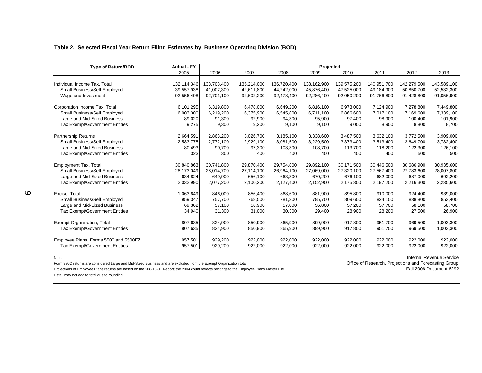| <b>Type of Return/BOD</b>             | <b>Actual - FY</b> | Projected   |             |             |             |             |             |             |             |  |  |
|---------------------------------------|--------------------|-------------|-------------|-------------|-------------|-------------|-------------|-------------|-------------|--|--|
|                                       | 2005               | 2006        | 2007        | 2008        | 2009        | 2010        | 2011        | 2012        | 2013        |  |  |
| Individual Income Tax, Total          | 132,114,346        | 133,708,400 | 135,214,000 | 136,720,400 | 138,162,900 | 139,575,200 | 140,951,700 | 142,279,500 | 143,589,100 |  |  |
| Small Business/Self Employed          | 39,557,938         | 41,007,300  | 42,611,800  | 44,242,000  | 45,876,400  | 47,525,000  | 49,184,900  | 50,850,700  | 52,532,300  |  |  |
| Wage and Investment                   | 92,556,408         | 92,701,100  | 92,602,200  | 92,478,400  | 92,286,400  | 92,050,200  | 91,766,800  | 91,428,800  | 91,056,900  |  |  |
| Corporation Income Tax, Total         | 6,101,295          | 6,319,800   | 6,478,000   | 6,649,200   | 6,816,100   | 6,973,000   | 7,124,900   | 7,278,800   | 7,449,800   |  |  |
| Small Business/Self Employed          | 6,003,000          | 6,219,200   | 6,375,900   | 6,545,800   | 6,711,100   | 6,866,600   | 7,017,100   | 7,169,600   | 7,339,100   |  |  |
| Large and Mid-Sized Business          | 89,020             | 91,300      | 92,900      | 94,300      | 95,900      | 97,400      | 98,900      | 100,400     | 101,900     |  |  |
| <b>Tax Exempt/Government Entities</b> | 9,275              | 9,300       | 9,200       | 9,100       | 9,100       | 9,000       | 8,900       | 8,800       | 8,700       |  |  |
| <b>Partnership Returns</b>            | 2,664,591          | 2,863,200   | 3,026,700   | 3,185,100   | 3,338,600   | 3,487,500   | 3,632,100   | 3,772,500   | 3,909,000   |  |  |
| Small Business/Self Employed          | 2,583,775          | 2,772,100   | 2,929,100   | 3,081,500   | 3,229,500   | 3,373,400   | 3,513,400   | 3,649,700   | 3,782,400   |  |  |
| Large and Mid-Sized Business          | 80,493             | 90,700      | 97,300      | 103,300     | 108,700     | 113,700     | 118,200     | 122,300     | 126,100     |  |  |
| Tax Exempt/Government Entities        | 323                | 300         | 400         | 400         | 400         | 400         | 400         | 500         | 500         |  |  |
| Employment Tax, Total                 | 30,840,863         | 30,741,800  | 29,870,400  | 29,754,800  | 29,892,100  | 30,171,500  | 30,446,500  | 30,686,900  | 30,935,600  |  |  |
| Small Business/Self Employed          | 28,173,049         | 28,014,700  | 27,114,100  | 26,964,100  | 27,069,000  | 27,320,100  | 27,567,400  | 27,783,600  | 28,007,800  |  |  |
| Large and Mid-Sized Business          | 634,824            | 649,900     | 656,100     | 663,300     | 670,200     | 676,100     | 682,000     | 687,000     | 692,200     |  |  |
| <b>Tax Exempt/Government Entities</b> | 2,032,990          | 2,077,200   | 2,100,200   | 2,127,400   | 2,152,900   | 2,175,300   | 2,197,200   | 2,216,300   | 2,235,600   |  |  |
| Excise, Total                         | 1,063,649          | 846,000     | 856,400     | 868,600     | 881,900     | 895,800     | 910,000     | 924,400     | 939,000     |  |  |
| Small Business/Self Employed          | 959,347            | 757,700     | 768,500     | 781,300     | 795,700     | 809,600     | 824,100     | 838,800     | 853,400     |  |  |
| Large and Mid-Sized Business          | 69,362             | 57,100      | 56.900      | 57.000      | 56.800      | 57,200      | 57,700      | 58,100      | 58,700      |  |  |
| <b>Tax Exempt/Government Entities</b> | 34,940             | 31,300      | 31,000      | 30,300      | 29,400      | 28,900      | 28,200      | 27,500      | 26,900      |  |  |
| <b>Exempt Organization, Total</b>     | 807,635            | 824,900     | 850,900     | 865,900     | 899,900     | 917,800     | 951,700     | 969,500     | 1,003,300   |  |  |
| <b>Tax Exempt/Government Entities</b> | 807,635            | 824,900     | 850,900     | 865,900     | 899,900     | 917,800     | 951,700     | 969,500     | 1,003,300   |  |  |
| Employee Plans, Forms 5500 and 5500EZ | 957,501            | 929,200     | 922,000     | 922,000     | 922,000     | 922,000     | 922,000     | 922,000     | 922,000     |  |  |
| <b>Tax Exempt/Government Entities</b> | 957.501            | 929,200     | 922,000     | 922,000     | 922,000     | 922,000     | 922,000     | 922,000     | 922.000     |  |  |
|                                       |                    |             |             |             |             |             |             |             |             |  |  |

Notes:

Form 990C returns are considered Large and Mid-Sized Business and are excluded from the Exempt Organization total.<br>Projections of Employee Plans Master File Designess of the 2004 of Forecasting Group (Fell 2006 Document 62

Projections of Employee Plans returns are based on the 208-18-01 Report; the 2004 count reflects postings to the Employee Plans Master File.

Detail may not add to total due to rounding.

Internal Revenue Service

 $\circ$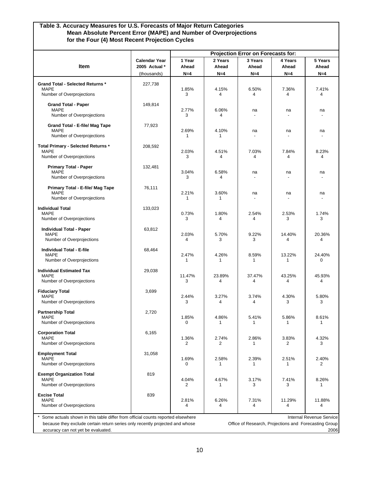#### **Table 3. Accuracy Measures for U.S. Forecasts of Major Return Categories Mean Absolute Percent Error (MAPE) and Number of Overprojections for the Four (4) Most Recent Projection Cycles**

|                                                                                                                                                                                                       | Projection Error on Forecasts for:                   |                          |                           |                           |                                                       |                                  |  |  |
|-------------------------------------------------------------------------------------------------------------------------------------------------------------------------------------------------------|------------------------------------------------------|--------------------------|---------------------------|---------------------------|-------------------------------------------------------|----------------------------------|--|--|
| <b>Item</b>                                                                                                                                                                                           | <b>Calendar Year</b><br>2005 Actual *<br>(thousands) | 1 Year<br>Ahead<br>$N=4$ | 2 Years<br>Ahead<br>$N=4$ | 3 Years<br>Ahead<br>$N=4$ | 4 Years<br>Ahead<br>$N=4$                             | 5 Years<br>Ahead<br>$N = 4$      |  |  |
| <b>Grand Total - Selected Returns *</b><br><b>MAPE</b><br>Number of Overprojections                                                                                                                   | 227,738                                              | 1.85%<br>3               | 4.15%<br>4                | 6.50%<br>4                | 7.36%<br>4                                            | 7.41%<br>4                       |  |  |
| <b>Grand Total - Paper</b><br><b>MAPE</b><br>Number of Overprojections                                                                                                                                | 149,814                                              | 2.77%<br>3               | 6.06%<br>4                | na                        | na                                                    | na                               |  |  |
| Grand Total - E-file/ Mag Tape<br><b>MAPE</b><br>Number of Overprojections                                                                                                                            | 77,923                                               | 2.69%<br>1               | 4.10%<br>1                | na                        | na                                                    | na                               |  |  |
| Total Primary - Selected Returns *<br><b>MAPE</b><br>Number of Overprojections                                                                                                                        | 208,592                                              | 2.03%<br>3               | 4.51%<br>4                | 7.03%<br>4                | 7.84%<br>4                                            | 8.23%<br>4                       |  |  |
| <b>Primary Total - Paper</b><br><b>MAPE</b><br>Number of Overprojections                                                                                                                              | 132,481                                              | 3.04%<br>3               | 6.58%<br>4                | na                        | na                                                    | na                               |  |  |
| Primary Total - E-file/ Mag Tape<br>MAPE<br>Number of Overprojections                                                                                                                                 | 76,111                                               | 2.21%<br>1               | 3.60%<br>1                | na                        | na                                                    | na                               |  |  |
| <b>Individual Total</b><br><b>MAPE</b><br>Number of Overprojections                                                                                                                                   | 133,023                                              | 0.73%<br>3               | 1.80%<br>4                | 2.54%<br>4                | 2.53%<br>3                                            | 1.74%<br>3                       |  |  |
| <b>Individual Total - Paper</b><br><b>MAPE</b><br>Number of Overprojections                                                                                                                           | 63,812                                               | 2.03%<br>4               | 5.70%<br>3                | 9.22%<br>3                | 14.40%<br>4                                           | 20.36%<br>4                      |  |  |
| <b>Individual Total - E-file</b><br><b>MAPE</b><br>Number of Overprojections                                                                                                                          | 68,464                                               | 2.47%<br>1               | 4.26%<br>$\mathbf{1}$     | 8.59%<br>1                | 13.22%<br>1                                           | 24.40%<br>0                      |  |  |
| <b>Individual Estimated Tax</b><br><b>MAPE</b><br>Number of Overprojections                                                                                                                           | 29,038                                               | 11.47%<br>3              | 23.89%<br>4               | 37.47%<br>4               | 43.25%<br>4                                           | 45.93%<br>4                      |  |  |
| <b>Fiduciary Total</b><br><b>MAPE</b><br>Number of Overprojections                                                                                                                                    | 3,699                                                | 2.44%<br>3               | 3.27%<br>4                | 3.74%<br>4                | 4.30%<br>3                                            | 5.80%<br>3                       |  |  |
| <b>Partnership Total</b><br>MAPE<br>Number of Overprojections                                                                                                                                         | 2,720                                                | 1.85%<br>0               | 4.86%<br>1                | 5.41%<br>1                | 5.86%<br>1                                            | 8.61%<br>1                       |  |  |
| <b>Corporation Total</b><br><b>MAPE</b><br>Number of Overprojections                                                                                                                                  | 6,165                                                | 1.36%<br>2               | 2.74%<br>2                | 2.86%<br>1                | 3.83%<br>2                                            | 4.32%<br>3                       |  |  |
| <b>Employment Total</b><br><b>MAPE</b><br>Number of Overprojections                                                                                                                                   | 31,058                                               | 1.69%<br>0               | 2.58%<br>1                | 2.39%<br>1                | 2.51%<br>1                                            | 2.40%<br>2                       |  |  |
| <b>Exempt Organization Total</b><br><b>MAPE</b><br>Number of Overprojections                                                                                                                          | 819                                                  | 4.04%<br>2               | 4.67%<br>1                | 3.17%<br>3                | 7.41%<br>3                                            | 8.26%<br>1                       |  |  |
| <b>Excise Total</b><br><b>MAPE</b><br>Number of Overprojections                                                                                                                                       | 839                                                  | 2.81%<br>4               | 6.26%<br>4                | 7.31%<br>4                | 11.29%<br>4                                           | 11.88%<br>4                      |  |  |
| Some actuals shown in this table differ from official counts reported elsewhere<br>because they exclude certain return series only recently projected and whose<br>accuracy can not yet be evaluated. |                                                      |                          |                           |                           | Office of Research, Projections and Forecasting Group | Internal Revenue Service<br>2006 |  |  |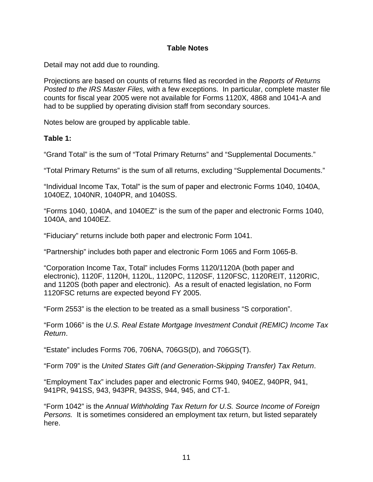#### **Table Notes**

Detail may not add due to rounding.

Projections are based on counts of returns filed as recorded in the *Reports of Returns Posted to the IRS Master Files,* with a few exceptions. In particular, complete master file counts for fiscal year 2005 were not available for Forms 1120X, 4868 and 1041-A and had to be supplied by operating division staff from secondary sources.

Notes below are grouped by applicable table.

#### **Table 1:**

"Grand Total" is the sum of "Total Primary Returns" and "Supplemental Documents."

"Total Primary Returns" is the sum of all returns, excluding "Supplemental Documents."

"Individual Income Tax, Total" is the sum of paper and electronic Forms 1040, 1040A, 1040EZ, 1040NR, 1040PR, and 1040SS.

"Forms 1040, 1040A, and 1040EZ" is the sum of the paper and electronic Forms 1040, 1040A, and 1040EZ.

"Fiduciary" returns include both paper and electronic Form 1041.

"Partnership" includes both paper and electronic Form 1065 and Form 1065-B.

"Corporation Income Tax, Total" includes Forms 1120/1120A (both paper and electronic), 1120F, 1120H, 1120L, 1120PC, 1120SF, 1120FSC, 1120REIT, 1120RIC, and 1120S (both paper and electronic). As a result of enacted legislation, no Form 1120FSC returns are expected beyond FY 2005.

"Form 2553" is the election to be treated as a small business "S corporation".

"Form 1066" is the *U.S. Real Estate Mortgage Investment Conduit (REMIC) Income Tax Return*.

"Estate" includes Forms 706, 706NA, 706GS(D), and 706GS(T).

"Form 709" is the *United States Gift (and Generation-Skipping Transfer) Tax Return*.

"Employment Tax" includes paper and electronic Forms 940, 940EZ, 940PR, 941, 941PR, 941SS, 943, 943PR, 943SS, 944, 945, and CT-1.

"Form 1042" is the *Annual Withholding Tax Return for U.S. Source Income of Foreign Persons.* It is sometimes considered an employment tax return, but listed separately here.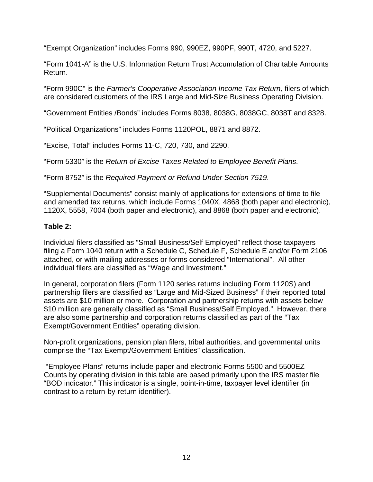"Exempt Organization" includes Forms 990, 990EZ, 990PF, 990T, 4720, and 5227.

"Form 1041-A" is the U.S. Information Return Trust Accumulation of Charitable Amounts Return.

"Form 990C" is the *Farmer's Cooperative Association Income Tax Return,* filers of which are considered customers of the IRS Large and Mid-Size Business Operating Division.

"Government Entities /Bonds" includes Forms 8038, 8038G, 8038GC, 8038T and 8328.

"Political Organizations" includes Forms 1120POL, 8871 and 8872.

"Excise, Total" includes Forms 11-C, 720, 730, and 2290.

"Form 5330" is the *Return of Excise Taxes Related to Employee Benefit Plans*.

"Form 8752" is the *Required Payment or Refund Under Section 7519*.

"Supplemental Documents" consist mainly of applications for extensions of time to file and amended tax returns, which include Forms 1040X, 4868 (both paper and electronic), 1120X, 5558, 7004 (both paper and electronic), and 8868 (both paper and electronic).

#### **Table 2:**

Individual filers classified as "Small Business/Self Employed" reflect those taxpayers filing a Form 1040 return with a Schedule C, Schedule F, Schedule E and/or Form 2106 attached, or with mailing addresses or forms considered "International". All other individual filers are classified as "Wage and Investment."

In general, corporation filers (Form 1120 series returns including Form 1120S) and partnership filers are classified as "Large and Mid-Sized Business" if their reported total assets are \$10 million or more. Corporation and partnership returns with assets below \$10 million are generally classified as "Small Business/Self Employed." However, there are also some partnership and corporation returns classified as part of the "Tax Exempt/Government Entities" operating division.

Non-profit organizations, pension plan filers, tribal authorities, and governmental units comprise the "Tax Exempt/Government Entities" classification.

 "Employee Plans" returns include paper and electronic Forms 5500 and 5500EZ Counts by operating division in this table are based primarily upon the IRS master file "BOD indicator." This indicator is a single, point-in-time, taxpayer level identifier (in contrast to a return-by-return identifier).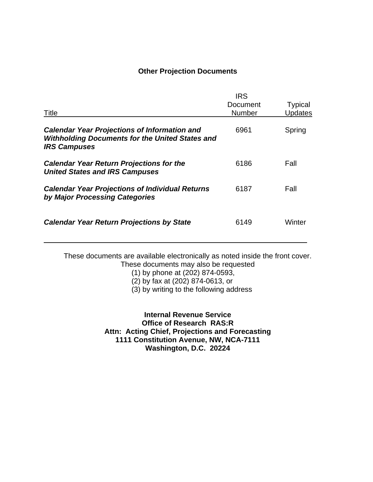#### **Other Projection Documents**

| Title                                                                                                                                | <b>IRS</b><br>Document<br><b>Number</b> | <b>Typical</b><br><b>Updates</b> |
|--------------------------------------------------------------------------------------------------------------------------------------|-----------------------------------------|----------------------------------|
| <b>Calendar Year Projections of Information and</b><br><b>Withholding Documents for the United States and</b><br><b>IRS Campuses</b> | 6961                                    | Spring                           |
| <b>Calendar Year Return Projections for the</b><br><b>United States and IRS Campuses</b>                                             | 6186                                    | Fall                             |
| <b>Calendar Year Projections of Individual Returns</b><br>by Major Processing Categories                                             | 6187                                    | Fall                             |
| <b>Calendar Year Return Projections by State</b>                                                                                     | 6149                                    | Winter                           |

These documents are available electronically as noted inside the front cover. These documents may also be requested

(1) by phone at (202) 874-0593,

 $\overline{a}$ 

(2) by fax at (202) 874-0613, or

(3) by writing to the following address

**Internal Revenue Service Office of Research RAS:R Attn: Acting Chief, Projections and Forecasting 1111 Constitution Avenue, NW, NCA-7111 Washington, D.C. 20224**